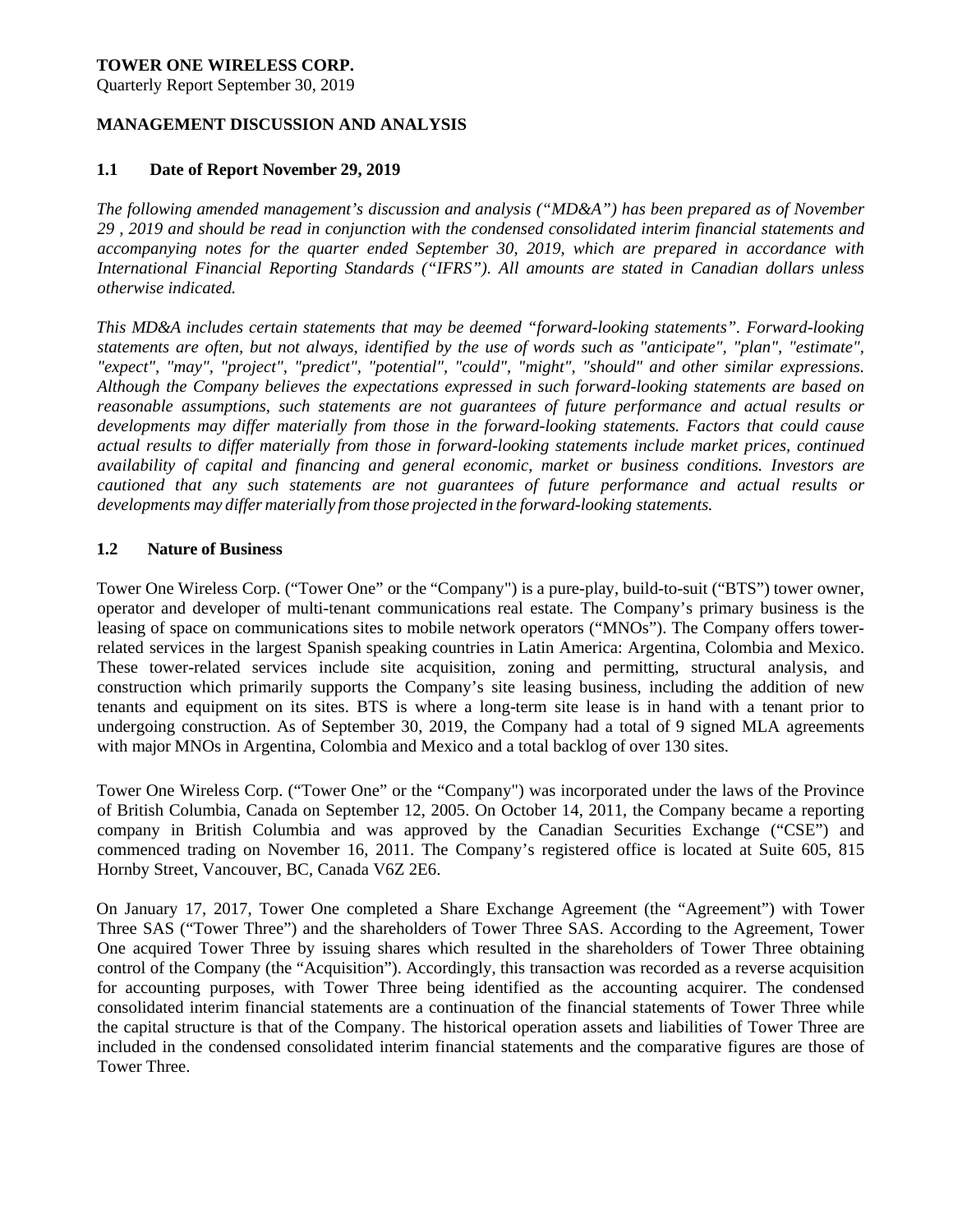### **TOWER ONE WIRELESS CORP.**

Quarterly Report September 30, 2019

### **MANAGEMENT DISCUSSION AND ANALYSIS**

### **1.1 Date of Report November 29, 2019**

*The following amended management's discussion and analysis ("MD&A") has been prepared as of November 29 , 2019 and should be read in conjunction with the condensed consolidated interim financial statements and accompanying notes for the quarter ended September 30, 2019, which are prepared in accordance with International Financial Reporting Standards ("IFRS"). All amounts are stated in Canadian dollars unless otherwise indicated.* 

*This MD&A includes certain statements that may be deemed "forward-looking statements". Forward-looking statements are often, but not always, identified by the use of words such as "anticipate", "plan", "estimate", "expect", "may", "project", "predict", "potential", "could", "might", "should" and other similar expressions. Although the Company believes the expectations expressed in such forward-looking statements are based on reasonable assumptions, such statements are not guarantees of future performance and actual results or developments may differ materially from those in the forward-looking statements. Factors that could cause actual results to differ materially from those in forward-looking statements include market prices, continued availability of capital and financing and general economic, market or business conditions. Investors are cautioned that any such statements are not guarantees of future performance and actual results or developments may differ materially from those projected in the forward-looking statements.* 

### **1.2 Nature of Business**

Tower One Wireless Corp. ("Tower One" or the "Company") is a pure-play, build-to-suit ("BTS") tower owner, operator and developer of multi-tenant communications real estate. The Company's primary business is the leasing of space on communications sites to mobile network operators ("MNOs"). The Company offers towerrelated services in the largest Spanish speaking countries in Latin America: Argentina, Colombia and Mexico. These tower-related services include site acquisition, zoning and permitting, structural analysis, and construction which primarily supports the Company's site leasing business, including the addition of new tenants and equipment on its sites. BTS is where a long-term site lease is in hand with a tenant prior to undergoing construction. As of September 30, 2019, the Company had a total of 9 signed MLA agreements with major MNOs in Argentina, Colombia and Mexico and a total backlog of over 130 sites.

Tower One Wireless Corp. ("Tower One" or the "Company") was incorporated under the laws of the Province of British Columbia, Canada on September 12, 2005. On October 14, 2011, the Company became a reporting company in British Columbia and was approved by the Canadian Securities Exchange ("CSE") and commenced trading on November 16, 2011. The Company's registered office is located at Suite 605, 815 Hornby Street, Vancouver, BC, Canada V6Z 2E6.

On January 17, 2017, Tower One completed a Share Exchange Agreement (the "Agreement") with Tower Three SAS ("Tower Three") and the shareholders of Tower Three SAS. According to the Agreement, Tower One acquired Tower Three by issuing shares which resulted in the shareholders of Tower Three obtaining control of the Company (the "Acquisition"). Accordingly, this transaction was recorded as a reverse acquisition for accounting purposes, with Tower Three being identified as the accounting acquirer. The condensed consolidated interim financial statements are a continuation of the financial statements of Tower Three while the capital structure is that of the Company. The historical operation assets and liabilities of Tower Three are included in the condensed consolidated interim financial statements and the comparative figures are those of Tower Three.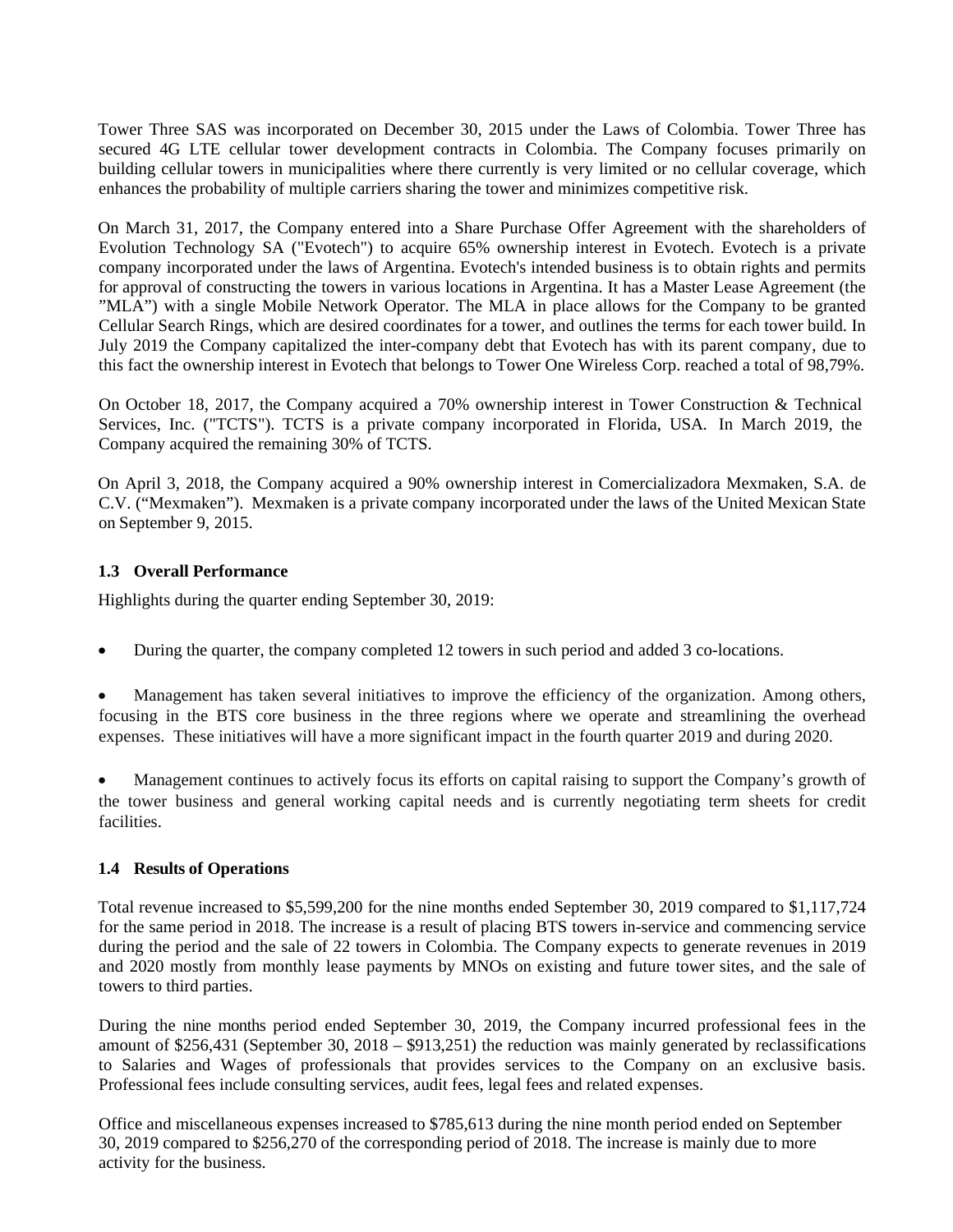Tower Three SAS was incorporated on December 30, 2015 under the Laws of Colombia. Tower Three has secured 4G LTE cellular tower development contracts in Colombia. The Company focuses primarily on building cellular towers in municipalities where there currently is very limited or no cellular coverage, which enhances the probability of multiple carriers sharing the tower and minimizes competitive risk.

On March 31, 2017, the Company entered into a Share Purchase Offer Agreement with the shareholders of Evolution Technology SA ("Evotech") to acquire 65% ownership interest in Evotech. Evotech is a private company incorporated under the laws of Argentina. Evotech's intended business is to obtain rights and permits for approval of constructing the towers in various locations in Argentina. It has a Master Lease Agreement (the "MLA") with a single Mobile Network Operator. The MLA in place allows for the Company to be granted Cellular Search Rings, which are desired coordinates for a tower, and outlines the terms for each tower build. In July 2019 the Company capitalized the inter-company debt that Evotech has with its parent company, due to this fact the ownership interest in Evotech that belongs to Tower One Wireless Corp. reached a total of 98,79%.

On October 18, 2017, the Company acquired a 70% ownership interest in Tower Construction & Technical Services, Inc. ("TCTS"). TCTS is a private company incorporated in Florida, USA. In March 2019, the Company acquired the remaining 30% of TCTS.

On April 3, 2018, the Company acquired a 90% ownership interest in Comercializadora Mexmaken, S.A. de C.V. ("Mexmaken"). Mexmaken is a private company incorporated under the laws of the United Mexican State on September 9, 2015.

## **1.3 Overall Performance**

Highlights during the quarter ending September 30, 2019:

During the quarter, the company completed 12 towers in such period and added 3 co-locations.

 Management has taken several initiatives to improve the efficiency of the organization. Among others, focusing in the BTS core business in the three regions where we operate and streamlining the overhead expenses. These initiatives will have a more significant impact in the fourth quarter 2019 and during 2020.

 Management continues to actively focus its efforts on capital raising to support the Company's growth of the tower business and general working capital needs and is currently negotiating term sheets for credit facilities.

#### **1.4 Results of Operations**

Total revenue increased to \$5,599,200 for the nine months ended September 30, 2019 compared to \$1,117,724 for the same period in 2018. The increase is a result of placing BTS towers in-service and commencing service during the period and the sale of 22 towers in Colombia. The Company expects to generate revenues in 2019 and 2020 mostly from monthly lease payments by MNOs on existing and future tower sites, and the sale of towers to third parties.

During the nine months period ended September 30, 2019, the Company incurred professional fees in the amount of \$256,431 (September 30, 2018 – \$913,251) the reduction was mainly generated by reclassifications to Salaries and Wages of professionals that provides services to the Company on an exclusive basis. Professional fees include consulting services, audit fees, legal fees and related expenses.

Office and miscellaneous expenses increased to \$785,613 during the nine month period ended on September 30, 2019 compared to \$256,270 of the corresponding period of 2018. The increase is mainly due to more activity for the business.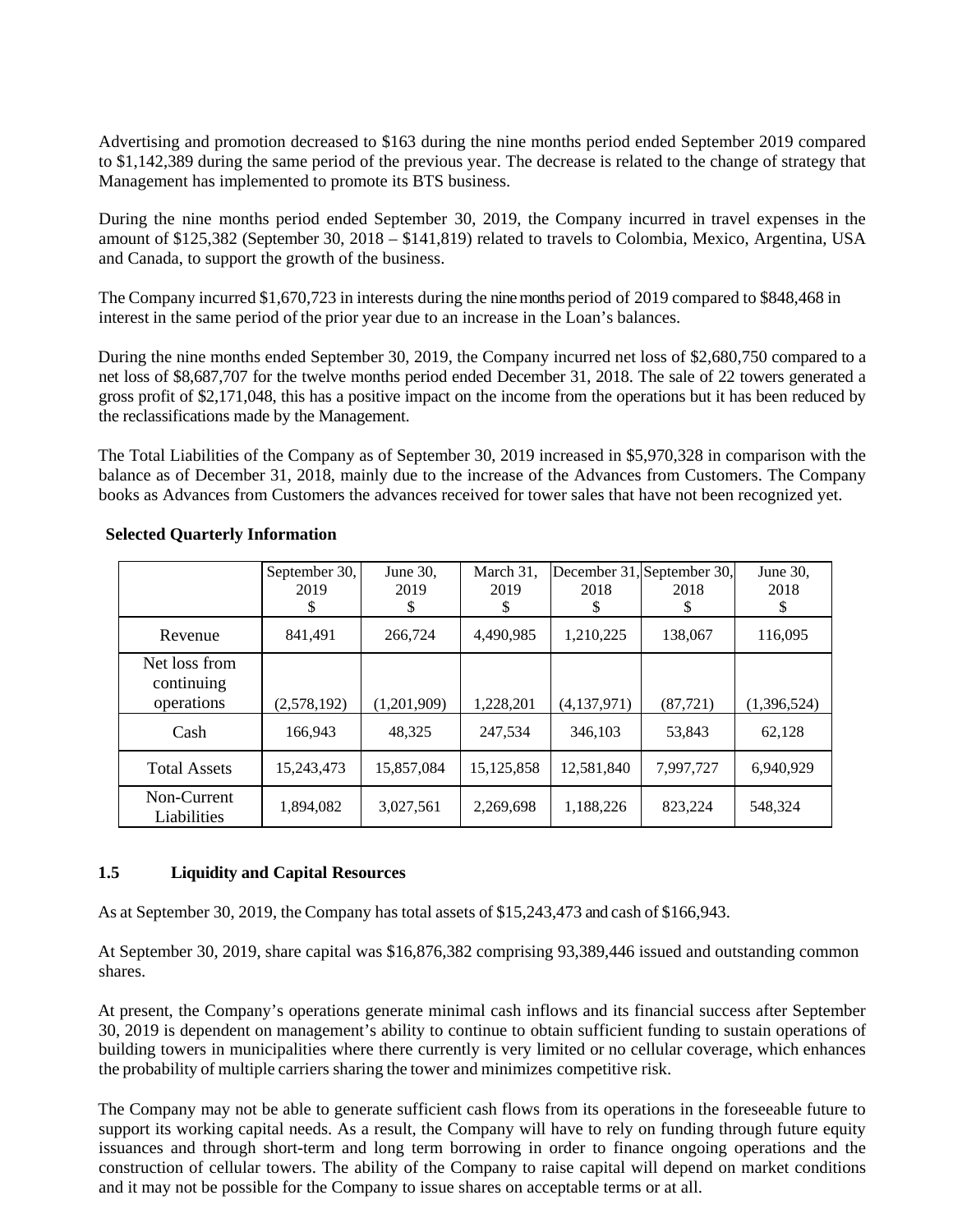Advertising and promotion decreased to \$163 during the nine months period ended September 2019 compared to \$1,142,389 during the same period of the previous year. The decrease is related to the change of strategy that Management has implemented to promote its BTS business.

During the nine months period ended September 30, 2019, the Company incurred in travel expenses in the amount of \$125,382 (September 30, 2018 – \$141,819) related to travels to Colombia, Mexico, Argentina, USA and Canada, to support the growth of the business.

The Company incurred \$1,670,723 in interests during the nine months period of 2019 compared to \$848,468 in interest in the same period of the prior year due to an increase in the Loan's balances.

During the nine months ended September 30, 2019, the Company incurred net loss of \$2,680,750 compared to a net loss of \$8,687,707 for the twelve months period ended December 31, 2018. The sale of 22 towers generated a gross profit of \$2,171,048, this has a positive impact on the income from the operations but it has been reduced by the reclassifications made by the Management.

The Total Liabilities of the Company as of September 30, 2019 increased in \$5,970,328 in comparison with the balance as of December 31, 2018, mainly due to the increase of the Advances from Customers. The Company books as Advances from Customers the advances received for tower sales that have not been recognized yet.

|                             | September 30, | June 30,    | March 31,    |             | December 31, September 30, | June 30,    |
|-----------------------------|---------------|-------------|--------------|-------------|----------------------------|-------------|
|                             | 2019          | 2019        | 2019         | 2018        | 2018                       | 2018        |
|                             | S             |             |              | S           |                            | \$          |
| Revenue                     | 841,491       | 266,724     | 4,490,985    | 1,210,225   | 138,067                    | 116,095     |
| Net loss from<br>continuing |               |             |              |             |                            |             |
| operations                  | (2,578,192)   | (1,201,909) | 1,228,201    | (4,137,971) | (87, 721)                  | (1,396,524) |
| Cash                        | 166,943       | 48,325      | 247.534      | 346,103     | 53,843                     | 62,128      |
| <b>Total Assets</b>         | 15,243,473    | 15,857,084  | 15, 125, 858 | 12,581,840  | 7,997,727                  | 6,940,929   |
| Non-Current<br>Liabilities  | 1,894,082     | 3,027,561   | 2,269,698    | 1,188,226   | 823,224                    | 548,324     |

## **Selected Quarterly Information**

# **1.5 Liquidity and Capital Resources**

As at September 30, 2019, the Company has total assets of \$15,243,473 and cash of \$166,943.

At September 30, 2019, share capital was \$16,876,382 comprising 93,389,446 issued and outstanding common shares.

At present, the Company's operations generate minimal cash inflows and its financial success after September 30, 2019 is dependent on management's ability to continue to obtain sufficient funding to sustain operations of building towers in municipalities where there currently is very limited or no cellular coverage, which enhances the probability of multiple carriers sharing the tower and minimizes competitive risk.

The Company may not be able to generate sufficient cash flows from its operations in the foreseeable future to support its working capital needs. As a result, the Company will have to rely on funding through future equity issuances and through short-term and long term borrowing in order to finance ongoing operations and the construction of cellular towers. The ability of the Company to raise capital will depend on market conditions and it may not be possible for the Company to issue shares on acceptable terms or at all.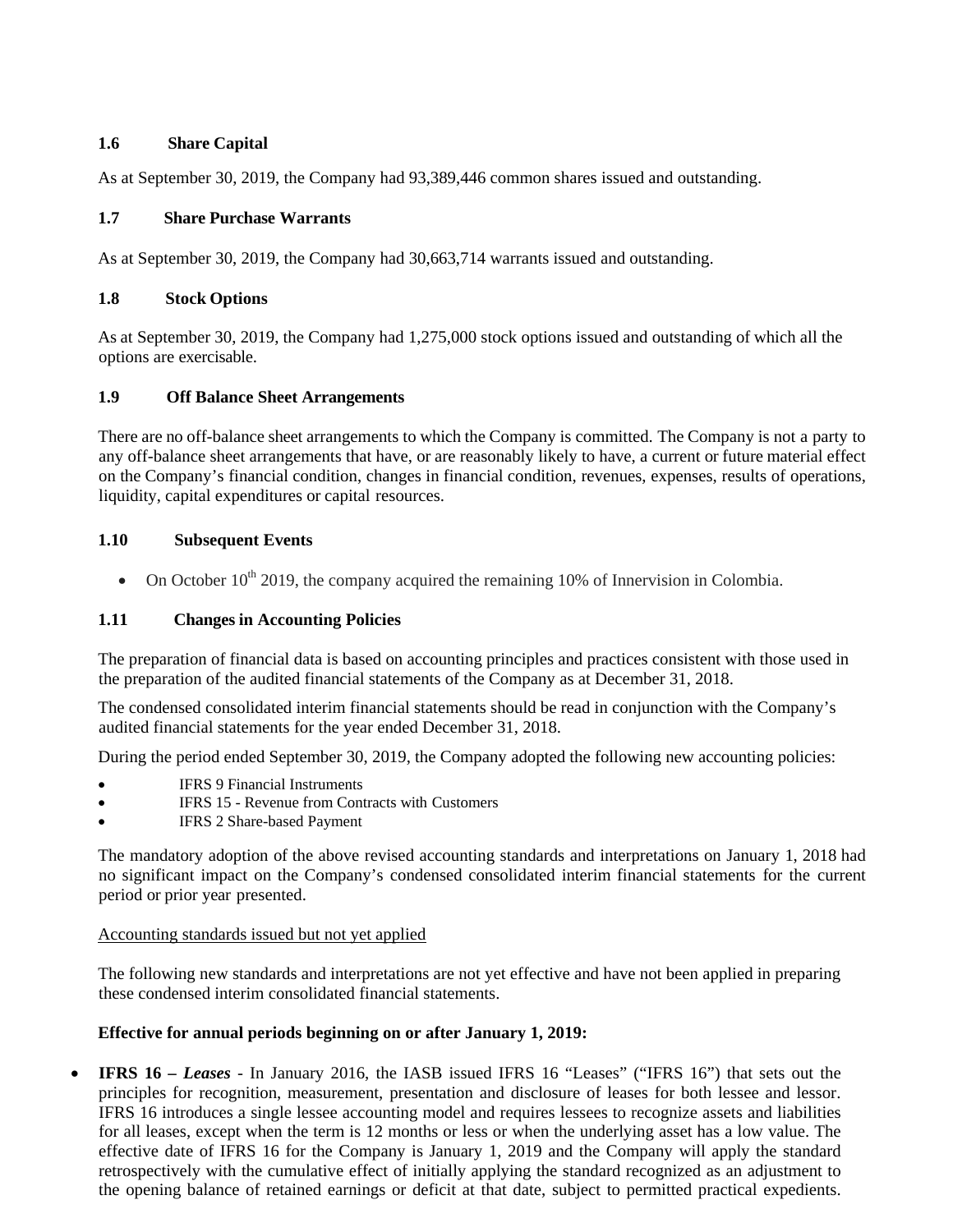# **1.6 Share Capital**

As at September 30, 2019, the Company had 93,389,446 common shares issued and outstanding.

# **1.7 Share Purchase Warrants**

As at September 30, 2019, the Company had 30,663,714 warrants issued and outstanding.

# **1.8 Stock Options**

As at September 30, 2019, the Company had 1,275,000 stock options issued and outstanding of which all the options are exercisable.

## **1.9 Off Balance Sheet Arrangements**

There are no off-balance sheet arrangements to which the Company is committed. The Company is not a party to any off-balance sheet arrangements that have, or are reasonably likely to have, a current or future material effect on the Company's financial condition, changes in financial condition, revenues, expenses, results of operations, liquidity, capital expenditures or capital resources.

# **1.10 Subsequent Events**

• On October  $10^{th}$  2019, the company acquired the remaining 10% of Innervision in Colombia.

# **1.11 Changes in Accounting Policies**

The preparation of financial data is based on accounting principles and practices consistent with those used in the preparation of the audited financial statements of the Company as at December 31, 2018.

The condensed consolidated interim financial statements should be read in conjunction with the Company's audited financial statements for the year ended December 31, 2018.

During the period ended September 30, 2019, the Company adopted the following new accounting policies:

- IFRS 9 Financial Instruments
- IFRS 15 Revenue from Contracts with Customers
- IFRS 2 Share-based Payment

The mandatory adoption of the above revised accounting standards and interpretations on January 1, 2018 had no significant impact on the Company's condensed consolidated interim financial statements for the current period or prior year presented.

## Accounting standards issued but not yet applied

The following new standards and interpretations are not yet effective and have not been applied in preparing these condensed interim consolidated financial statements.

## **Effective for annual periods beginning on or after January 1, 2019:**

 **IFRS 16** *– Leases -* In January 2016, the IASB issued IFRS 16 "Leases" ("IFRS 16") that sets out the principles for recognition, measurement, presentation and disclosure of leases for both lessee and lessor. IFRS 16 introduces a single lessee accounting model and requires lessees to recognize assets and liabilities for all leases, except when the term is 12 months or less or when the underlying asset has a low value. The effective date of IFRS 16 for the Company is January 1, 2019 and the Company will apply the standard retrospectively with the cumulative effect of initially applying the standard recognized as an adjustment to the opening balance of retained earnings or deficit at that date, subject to permitted practical expedients.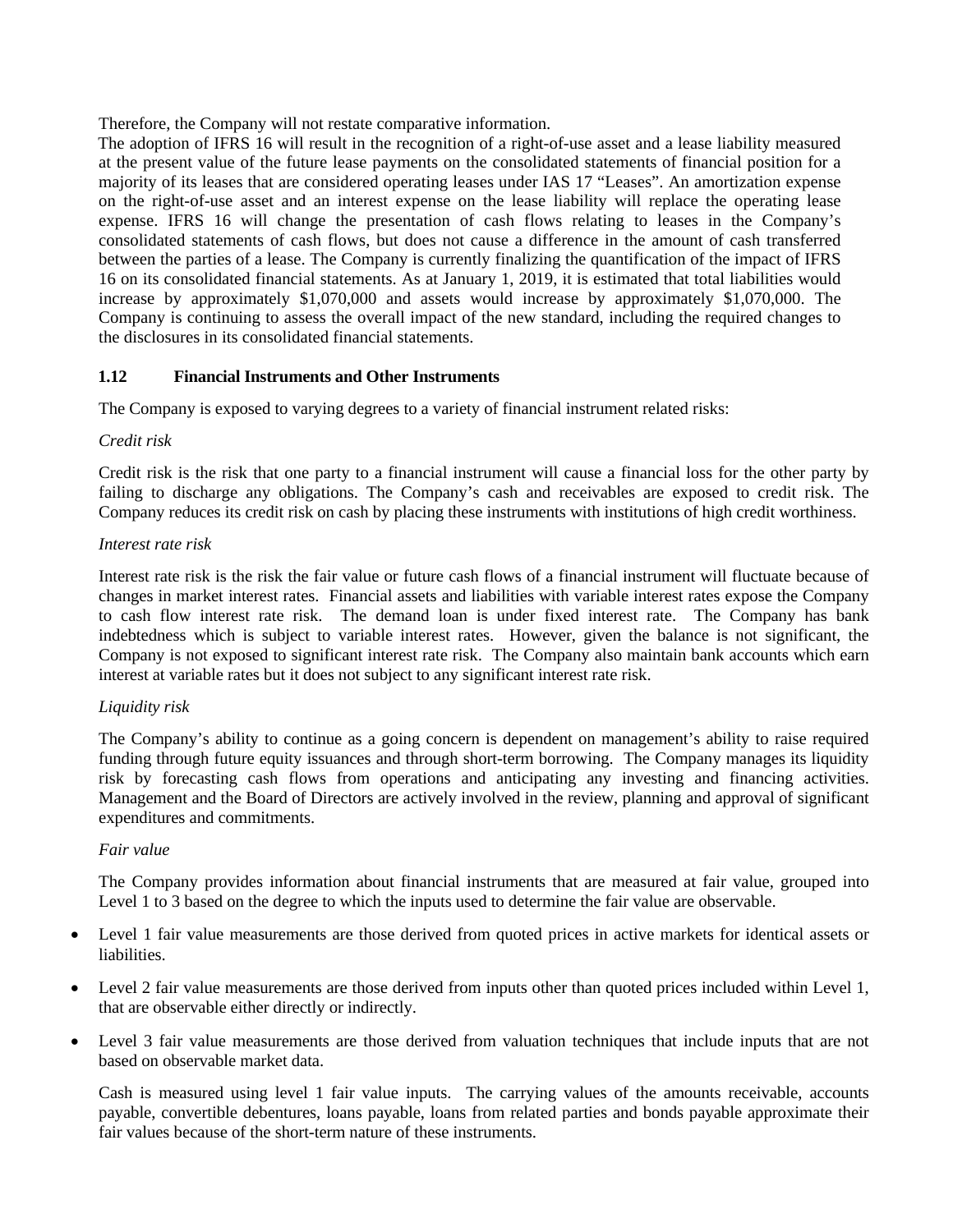Therefore, the Company will not restate comparative information.

The adoption of IFRS 16 will result in the recognition of a right-of-use asset and a lease liability measured at the present value of the future lease payments on the consolidated statements of financial position for a majority of its leases that are considered operating leases under IAS 17 "Leases". An amortization expense on the right-of-use asset and an interest expense on the lease liability will replace the operating lease expense. IFRS 16 will change the presentation of cash flows relating to leases in the Company's consolidated statements of cash flows, but does not cause a difference in the amount of cash transferred between the parties of a lease. The Company is currently finalizing the quantification of the impact of IFRS 16 on its consolidated financial statements. As at January 1, 2019, it is estimated that total liabilities would increase by approximately \$1,070,000 and assets would increase by approximately \$1,070,000. The Company is continuing to assess the overall impact of the new standard, including the required changes to the disclosures in its consolidated financial statements.

# **1.12 Financial Instruments and Other Instruments**

The Company is exposed to varying degrees to a variety of financial instrument related risks:

# *Credit risk*

Credit risk is the risk that one party to a financial instrument will cause a financial loss for the other party by failing to discharge any obligations. The Company's cash and receivables are exposed to credit risk. The Company reduces its credit risk on cash by placing these instruments with institutions of high credit worthiness.

# *Interest rate risk*

Interest rate risk is the risk the fair value or future cash flows of a financial instrument will fluctuate because of changes in market interest rates. Financial assets and liabilities with variable interest rates expose the Company to cash flow interest rate risk. The demand loan is under fixed interest rate. The Company has bank indebtedness which is subject to variable interest rates. However, given the balance is not significant, the Company is not exposed to significant interest rate risk. The Company also maintain bank accounts which earn interest at variable rates but it does not subject to any significant interest rate risk.

# *Liquidity risk*

The Company's ability to continue as a going concern is dependent on management's ability to raise required funding through future equity issuances and through short-term borrowing. The Company manages its liquidity risk by forecasting cash flows from operations and anticipating any investing and financing activities. Management and the Board of Directors are actively involved in the review, planning and approval of significant expenditures and commitments.

## *Fair value*

The Company provides information about financial instruments that are measured at fair value, grouped into Level 1 to 3 based on the degree to which the inputs used to determine the fair value are observable.

- Level 1 fair value measurements are those derived from quoted prices in active markets for identical assets or liabilities.
- Level 2 fair value measurements are those derived from inputs other than quoted prices included within Level 1, that are observable either directly or indirectly.
- Level 3 fair value measurements are those derived from valuation techniques that include inputs that are not based on observable market data.

Cash is measured using level 1 fair value inputs. The carrying values of the amounts receivable, accounts payable, convertible debentures, loans payable, loans from related parties and bonds payable approximate their fair values because of the short-term nature of these instruments.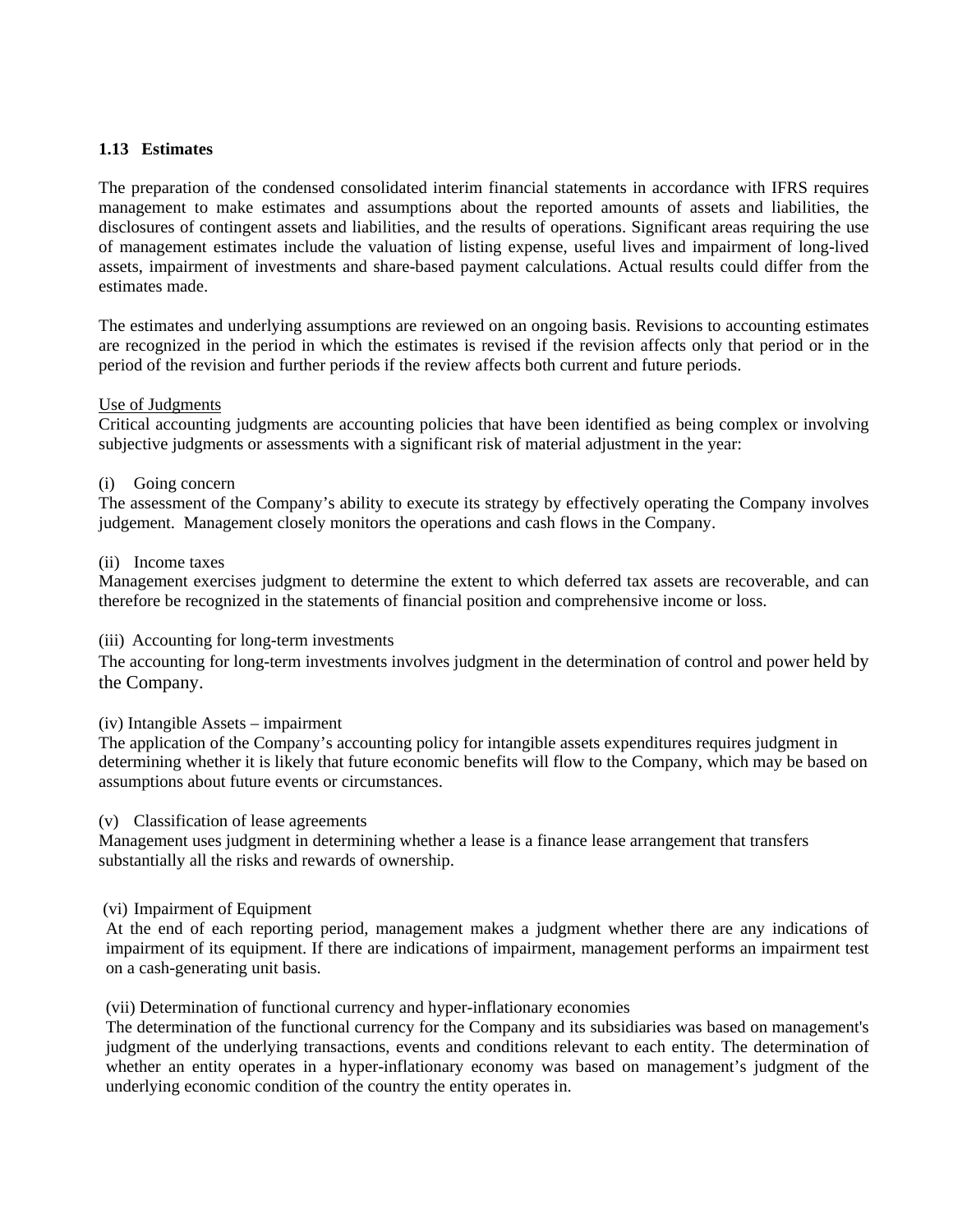### **1.13 Estimates**

The preparation of the condensed consolidated interim financial statements in accordance with IFRS requires management to make estimates and assumptions about the reported amounts of assets and liabilities, the disclosures of contingent assets and liabilities, and the results of operations. Significant areas requiring the use of management estimates include the valuation of listing expense, useful lives and impairment of long-lived assets, impairment of investments and share-based payment calculations. Actual results could differ from the estimates made.

The estimates and underlying assumptions are reviewed on an ongoing basis. Revisions to accounting estimates are recognized in the period in which the estimates is revised if the revision affects only that period or in the period of the revision and further periods if the review affects both current and future periods.

#### Use of Judgments

Critical accounting judgments are accounting policies that have been identified as being complex or involving subjective judgments or assessments with a significant risk of material adjustment in the year:

### (i) Going concern

The assessment of the Company's ability to execute its strategy by effectively operating the Company involves judgement. Management closely monitors the operations and cash flows in the Company.

#### (ii) Income taxes

Management exercises judgment to determine the extent to which deferred tax assets are recoverable, and can therefore be recognized in the statements of financial position and comprehensive income or loss.

#### (iii) Accounting for long-term investments

The accounting for long-term investments involves judgment in the determination of control and power held by the Company.

#### (iv) Intangible Assets – impairment

The application of the Company's accounting policy for intangible assets expenditures requires judgment in determining whether it is likely that future economic benefits will flow to the Company, which may be based on assumptions about future events or circumstances.

#### (v) Classification of lease agreements

Management uses judgment in determining whether a lease is a finance lease arrangement that transfers substantially all the risks and rewards of ownership.

#### (vi) Impairment of Equipment

At the end of each reporting period, management makes a judgment whether there are any indications of impairment of its equipment. If there are indications of impairment, management performs an impairment test on a cash-generating unit basis.

## (vii) Determination of functional currency and hyper-inflationary economies

The determination of the functional currency for the Company and its subsidiaries was based on management's judgment of the underlying transactions, events and conditions relevant to each entity. The determination of whether an entity operates in a hyper-inflationary economy was based on management's judgment of the underlying economic condition of the country the entity operates in.